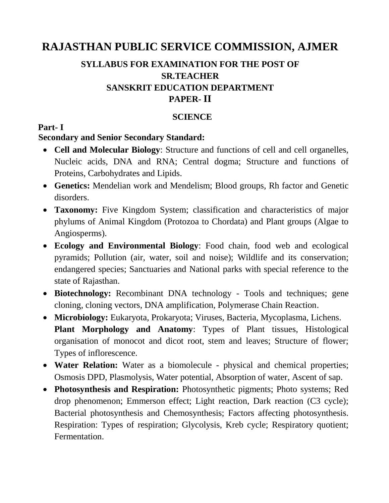# **RAJASTHAN PUBLIC SERVICE COMMISSION, AJMER**

## **SYLLABUS FOR EXAMINATION FOR THE POST OF SR.TEACHER SANSKRIT EDUCATION DEPARTMENT PAPER- II**

#### **SCIENCE**

#### **Part- I**

#### **Secondary and Senior Secondary Standard:**

- **Cell and Molecular Biology**: Structure and functions of cell and cell organelles, Nucleic acids, DNA and RNA; Central dogma; Structure and functions of Proteins, Carbohydrates and Lipids.
- **Genetics:** Mendelian work and Mendelism; Blood groups, Rh factor and Genetic disorders.
- **Taxonomy:** Five Kingdom System; classification and characteristics of major phylums of Animal Kingdom (Protozoa to Chordata) and Plant groups (Algae to Angiosperms).
- **Ecology and Environmental Biology**: Food chain, food web and ecological pyramids; Pollution (air, water, soil and noise); Wildlife and its conservation; endangered species; Sanctuaries and National parks with special reference to the state of Rajasthan.
- **Biotechnology:** Recombinant DNA technology Tools and techniques; gene cloning, cloning vectors, DNA amplification, Polymerase Chain Reaction.
- **Microbiology:** Eukaryota, Prokaryota; Viruses, Bacteria, Mycoplasma, Lichens. **Plant Morphology and Anatomy**: Types of Plant tissues, Histological organisation of monocot and dicot root, stem and leaves; Structure of flower; Types of inflorescence.
- **Water Relation:** Water as a biomolecule physical and chemical properties; Osmosis DPD, Plasmolysis, Water potential, Absorption of water, Ascent of sap.
- **Photosynthesis and Respiration:** Photosynthetic pigments; Photo systems; Red drop phenomenon; Emmerson effect; Light reaction, Dark reaction (C3 cycle); Bacterial photosynthesis and Chemosynthesis; Factors affecting photosynthesis. Respiration: Types of respiration; Glycolysis, Kreb cycle; Respiratory quotient; Fermentation.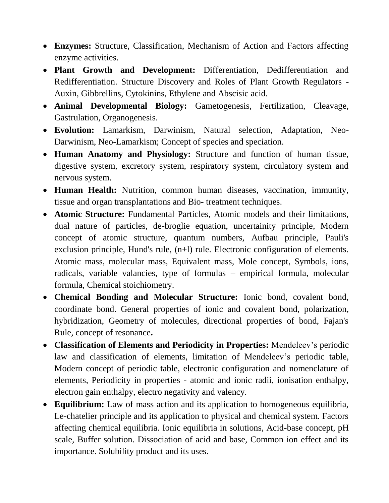- **Enzymes:** Structure, Classification, Mechanism of Action and Factors affecting enzyme activities.
- **Plant Growth and Development:** Differentiation, Dedifferentiation and Redifferentiation. Structure Discovery and Roles of Plant Growth Regulators - Auxin, Gibbrellins, Cytokinins, Ethylene and Abscisic acid.
- **Animal Developmental Biology:** Gametogenesis, Fertilization, Cleavage, Gastrulation, Organogenesis.
- **Evolution:** Lamarkism, Darwinism, Natural selection, Adaptation, Neo-Darwinism, Neo-Lamarkism; Concept of species and speciation.
- **Human Anatomy and Physiology:** Structure and function of human tissue, digestive system, excretory system, respiratory system, circulatory system and nervous system.
- **Human Health:** Nutrition, common human diseases, vaccination, immunity, tissue and organ transplantations and Bio- treatment techniques.
- **Atomic Structure:** Fundamental Particles, Atomic models and their limitations, dual nature of particles, de-broglie equation, uncertainity principle, Modern concept of atomic structure, quantum numbers, Aufbau principle, Pauli's exclusion principle, Hund's rule, (n+l) rule. Electronic configuration of elements. Atomic mass, molecular mass, Equivalent mass, Mole concept, Symbols, ions, radicals, variable valancies, type of formulas – empirical formula, molecular formula, Chemical stoichiometry.
- **Chemical Bonding and Molecular Structure:** Ionic bond, covalent bond, coordinate bond. General properties of ionic and covalent bond, polarization, hybridization, Geometry of molecules, directional properties of bond, Fajan's Rule, concept of resonance**.**
- **Classification of Elements and Periodicity in Properties:** Mendeleev's periodic law and classification of elements, limitation of Mendeleev's periodic table, Modern concept of periodic table, electronic configuration and nomenclature of elements, Periodicity in properties - atomic and ionic radii, ionisation enthalpy, electron gain enthalpy, electro negativity and valency.
- **Equilibrium:** Law of mass action and its application to homogeneous equilibria, Le-chatelier principle and its application to physical and chemical system. Factors affecting chemical equilibria. Ionic equilibria in solutions, Acid-base concept, pH scale, Buffer solution. Dissociation of acid and base, Common ion effect and its importance. Solubility product and its uses.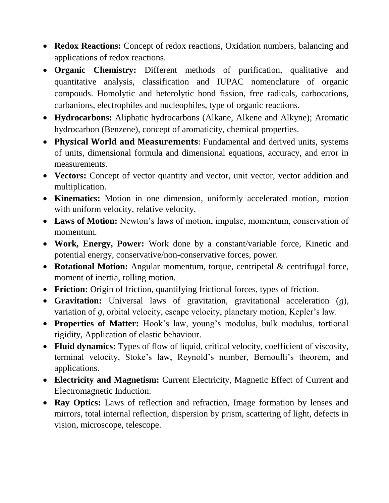- **Redox Reactions:** Concept of redox reactions, Oxidation numbers, balancing and applications of redox reactions.
- **Organic Chemistry:** Different methods of purification, qualitative and quantitative analysis, classification and IUPAC nomenclature of organic compouds. Homolytic and heterolytic bond fission, free radicals, carbocations, carbanions, electrophiles and nucleophiles, type of organic reactions.
- **Hydrocarbons:** Aliphatic hydrocarbons (Alkane, Alkene and Alkyne); Aromatic hydrocarbon (Benzene), concept of aromaticity, chemical properties.
- **Physical World and Measurements**: Fundamental and derived units, systems of units, dimensional formula and dimensional equations, accuracy, and error in measurements.
- **Vectors:** Concept of vector quantity and vector, unit vector, vector addition and multiplication.
- **Kinematics:** Motion in one dimension, uniformly accelerated motion, motion with uniform velocity, relative velocity.
- **Laws of Motion:** Newton's laws of motion, impulse, momentum, conservation of momentum.
- **Work, Energy, Power:** Work done by a constant/variable force, Kinetic and potential energy, conservative/non-conservative forces, power.
- **Rotational Motion:** Angular momentum, torque, centripetal & centrifugal force, moment of inertia, rolling motion.
- **Friction:** Origin of friction, quantifying frictional forces, types of friction.
- **Gravitation:** Universal laws of gravitation, gravitational acceleration (*g*), variation of *g*, orbital velocity, escape velocity, planetary motion, Kepler's law.
- **Properties of Matter:** Hook's law, young's modulus, bulk modulus, tortional rigidity, Application of elastic behaviour.
- **Fluid dynamics:** Types of flow of liquid, critical velocity, coefficient of viscosity, terminal velocity, Stoke's law, Reynold's number, Bernoulli's theorem, and applications.
- **Electricity and Magnetism:** Current Electricity, Magnetic Effect of Current and Electromagnetic Induction.
- **Ray Optics:** Laws of reflection and refraction, Image formation by lenses and mirrors, total internal reflection, dispersion by prism, scattering of light, defects in vision, microscope, telescope.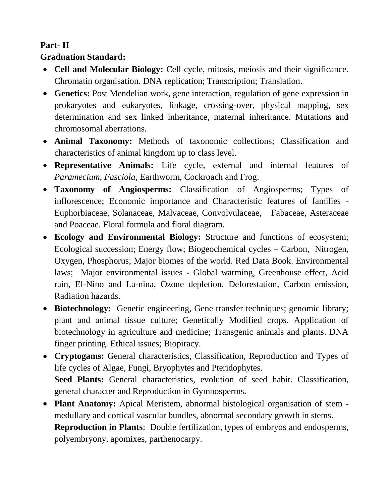## **Part- II**

### **Graduation Standard:**

- **Cell and Molecular Biology:** Cell cycle, mitosis, meiosis and their significance. Chromatin organisation. DNA replication; Transcription; Translation.
- **Genetics:** Post Mendelian work, gene interaction, regulation of gene expression in prokaryotes and eukaryotes, linkage, crossing-over, physical mapping, sex determination and sex linked inheritance, maternal inheritance. Mutations and chromosomal aberrations.
- **Animal Taxonomy:** Methods of taxonomic collections; Classification and characteristics of animal kingdom up to class level.
- **Representative Animals:** Life cycle, external and internal features of *Paramecium, Fasciola,* Earthworm, Cockroach and Frog.
- **Taxonomy of Angiosperms:** Classification of Angiosperms; Types of inflorescence; Economic importance and Characteristic features of families - Euphorbiaceae, Solanaceae, Malvaceae, Convolvulaceae, Fabaceae, Asteraceae and Poaceae. Floral formula and floral diagram.
- **Ecology and Environmental Biology:** Structure and functions of ecosystem; Ecological succession; Energy flow; Biogeochemical cycles – Carbon, Nitrogen, Oxygen, Phosphorus; Major biomes of the world. Red Data Book. Environmental laws; Major environmental issues - Global warming, Greenhouse effect, Acid rain, El-Nino and La-nina, Ozone depletion, Deforestation, Carbon emission, Radiation hazards.
- **Biotechnology:** Genetic engineering, Gene transfer techniques; genomic library; plant and animal tissue culture; Genetically Modified crops. Application of biotechnology in agriculture and medicine; Transgenic animals and plants. DNA finger printing. Ethical issues; Biopiracy.
- **Cryptogams:** General characteristics, Classification, Reproduction and Types of life cycles of Algae, Fungi, Bryophytes and Pteridophytes. **Seed Plants:** General characteristics, evolution of seed habit. Classification, general character and Reproduction in Gymnosperms.
- **Plant Anatomy:** Apical Meristem, abnormal histological organisation of stem medullary and cortical vascular bundles, abnormal secondary growth in stems. **Reproduction in Plants**: Double fertilization, types of embryos and endosperms, polyembryony, apomixes, parthenocarpy.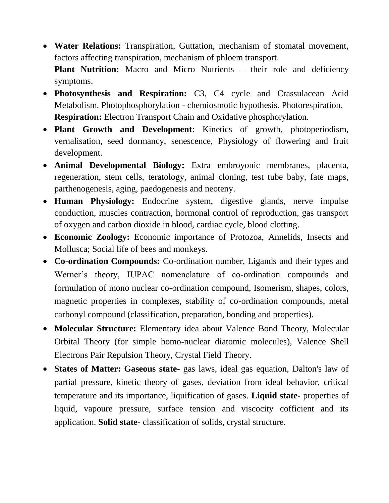**Water Relations:** Transpiration, Guttation, mechanism of stomatal movement, factors affecting transpiration, mechanism of phloem transport.

**Plant Nutrition:** Macro and Micro Nutrients – their role and deficiency symptoms.

- **Photosynthesis and Respiration:** C3, C4 cycle and Crassulacean Acid Metabolism. Photophosphorylation - chemiosmotic hypothesis. Photorespiration. **Respiration:** Electron Transport Chain and Oxidative phosphorylation.
- **Plant Growth and Development**: Kinetics of growth, photoperiodism, vernalisation, seed dormancy, senescence, Physiology of flowering and fruit development.
- **Animal Developmental Biology:** Extra embroyonic membranes, placenta, regeneration, stem cells, teratology, animal cloning, test tube baby, fate maps, parthenogenesis, aging, paedogenesis and neoteny.
- **Human Physiology:** Endocrine system, digestive glands, nerve impulse conduction, muscles contraction, hormonal control of reproduction, gas transport of oxygen and carbon dioxide in blood, cardiac cycle, blood clotting.
- **Economic Zoology:** Economic importance of Protozoa, Annelids, Insects and Mollusca; Social life of bees and monkeys.
- **Co-ordination Compounds:** Co-ordination number, Ligands and their types and Werner's theory, IUPAC nomenclature of co-ordination compounds and formulation of mono nuclear co-ordination compound, Isomerism, shapes, colors, magnetic properties in complexes, stability of co-ordination compounds, metal carbonyl compound (classification, preparation, bonding and properties).
- **Molecular Structure:** Elementary idea about Valence Bond Theory, Molecular Orbital Theory (for simple homo-nuclear diatomic molecules), Valence Shell Electrons Pair Repulsion Theory, Crystal Field Theory.
- **States of Matter: Gaseous state-** gas laws, ideal gas equation, Dalton's law of partial pressure, kinetic theory of gases, deviation from ideal behavior, critical temperature and its importance, liquification of gases. **Liquid state**- properties of liquid, vapoure pressure, surface tension and viscocity cofficient and its application. **Solid state-** classification of solids, crystal structure.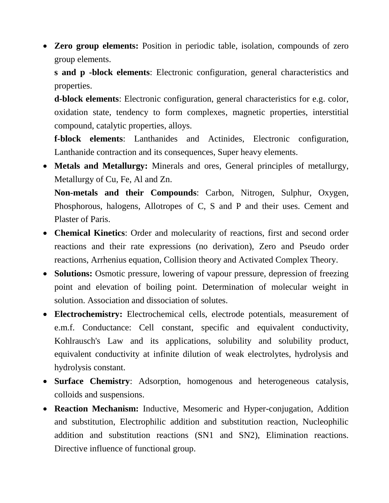**Zero group elements:** Position in periodic table, isolation, compounds of zero group elements.

**s and p -block elements**: Electronic configuration, general characteristics and properties.

**d-block elements**: Electronic configuration, general characteristics for e.g. color, oxidation state, tendency to form complexes, magnetic properties, interstitial compound, catalytic properties, alloys.

**f-block elements**: Lanthanides and Actinides, Electronic configuration, Lanthanide contraction and its consequences, Super heavy elements.

 **Metals and Metallurgy:** Minerals and ores, General principles of metallurgy, Metallurgy of Cu, Fe, Al and Zn.

**Non-metals and their Compounds**: Carbon, Nitrogen, Sulphur, Oxygen, Phosphorous, halogens, Allotropes of C, S and P and their uses. Cement and Plaster of Paris.

- **Chemical Kinetics**: Order and molecularity of reactions, first and second order reactions and their rate expressions (no derivation), Zero and Pseudo order reactions, Arrhenius equation, Collision theory and Activated Complex Theory.
- **Solutions:** Osmotic pressure, lowering of vapour pressure, depression of freezing point and elevation of boiling point. Determination of molecular weight in solution. Association and dissociation of solutes.
- **Electrochemistry:** Electrochemical cells, electrode potentials, measurement of e.m.f. Conductance: Cell constant, specific and equivalent conductivity, Kohlrausch's Law and its applications, solubility and solubility product, equivalent conductivity at infinite dilution of weak electrolytes, hydrolysis and hydrolysis constant.
- **Surface Chemistry**: Adsorption, homogenous and heterogeneous catalysis, colloids and suspensions.
- **Reaction Mechanism:** Inductive, Mesomeric and Hyper-conjugation, Addition and substitution, Electrophilic addition and substitution reaction, Nucleophilic addition and substitution reactions (SN1 and SN2), Elimination reactions. Directive influence of functional group.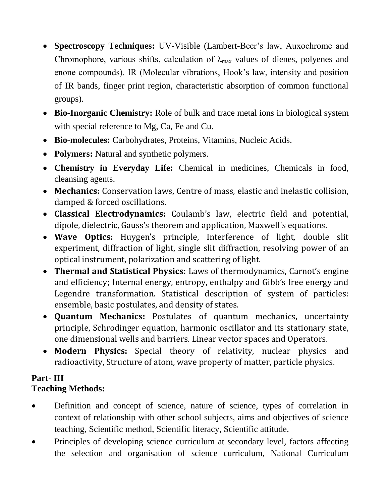- **Spectroscopy Techniques:** UV-Visible (Lambert-Beer's law, Auxochrome and Chromophore, various shifts, calculation of  $\lambda_{\text{max}}$  values of dienes, polyenes and enone compounds). IR (Molecular vibrations, Hook's law, intensity and position of IR bands, finger print region, characteristic absorption of common functional groups).
- **Bio-Inorganic Chemistry:** Role of bulk and trace metal ions in biological system with special reference to Mg, Ca, Fe and Cu.
- **Bio-molecules:** Carbohydrates, Proteins, Vitamins, Nucleic Acids.
- **Polymers:** Natural and synthetic polymers.
- **Chemistry in Everyday Life:** Chemical in medicines, Chemicals in food, cleansing agents.
- **Mechanics:** Conservation laws, Centre of mass, elastic and inelastic collision, damped & forced oscillations.
- **Classical Electrodynamics:** Coulamb's law, electric field and potential, dipole, dielectric, Gauss's theorem and application, Maxwell's equations.
- **Wave Optics:** Huygen's principle, Interference of light, double slit experiment, diffraction of light, single slit diffraction, resolving power of an optical instrument, polarization and scattering of light.
- **Thermal and Statistical Physics:** Laws of thermodynamics, Carnot's engine and efficiency; Internal energy, entropy, enthalpy and Gibb's free energy and Legendre transformation. Statistical description of system of particles: ensemble, basic postulates, and density of states.
- **Quantum Mechanics:** Postulates of quantum mechanics, uncertainty principle, Schrodinger equation, harmonic oscillator and its stationary state, one dimensional wells and barriers. Linear vector spaces and Operators.
- **Modern Physics:** Special theory of relativity, nuclear physics and radioactivity, Structure of atom, wave property of matter, particle physics.

## **Part- III Teaching Methods:**

- Definition and concept of science, nature of science, types of correlation in context of relationship with other school subjects, aims and objectives of science teaching, Scientific method, Scientific literacy, Scientific attitude.
- Principles of developing science curriculum at secondary level, factors affecting the selection and organisation of science curriculum, National Curriculum